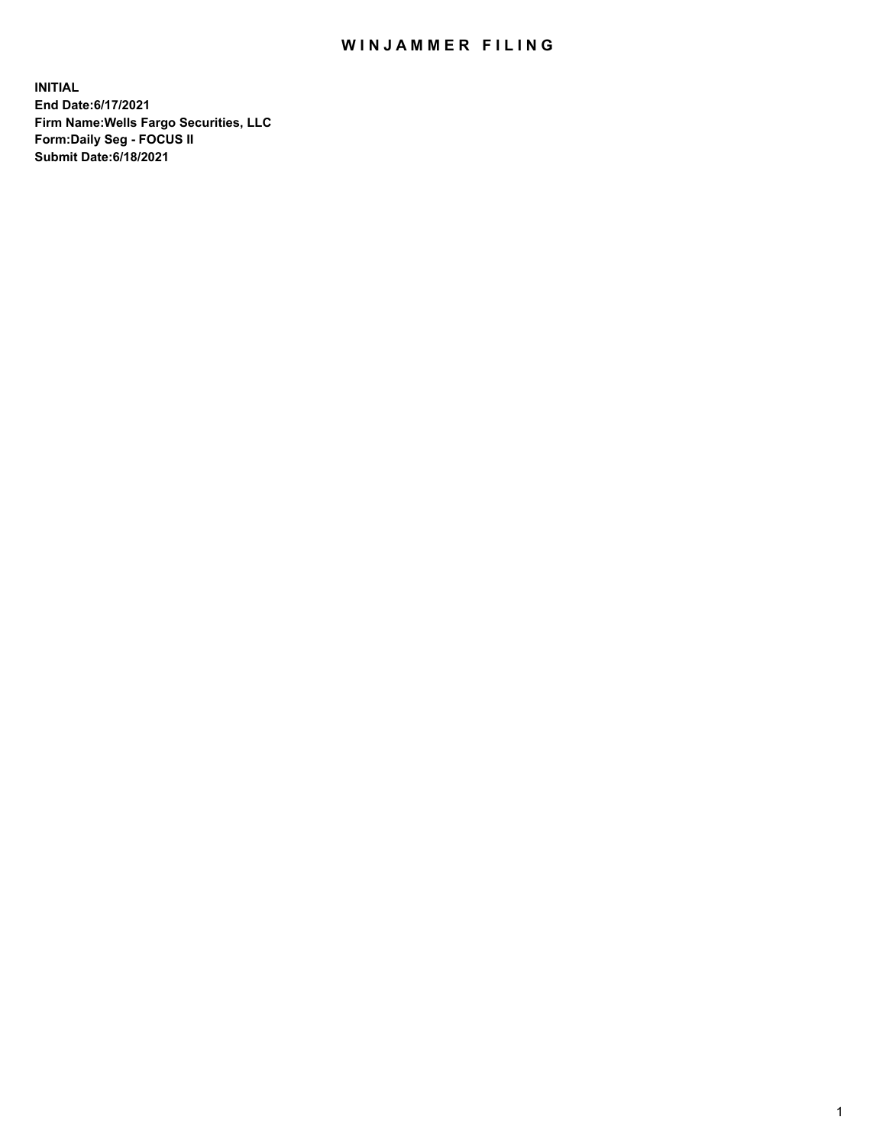## WIN JAMMER FILING

**INITIAL End Date:6/17/2021 Firm Name:Wells Fargo Securities, LLC Form:Daily Seg - FOCUS II Submit Date:6/18/2021**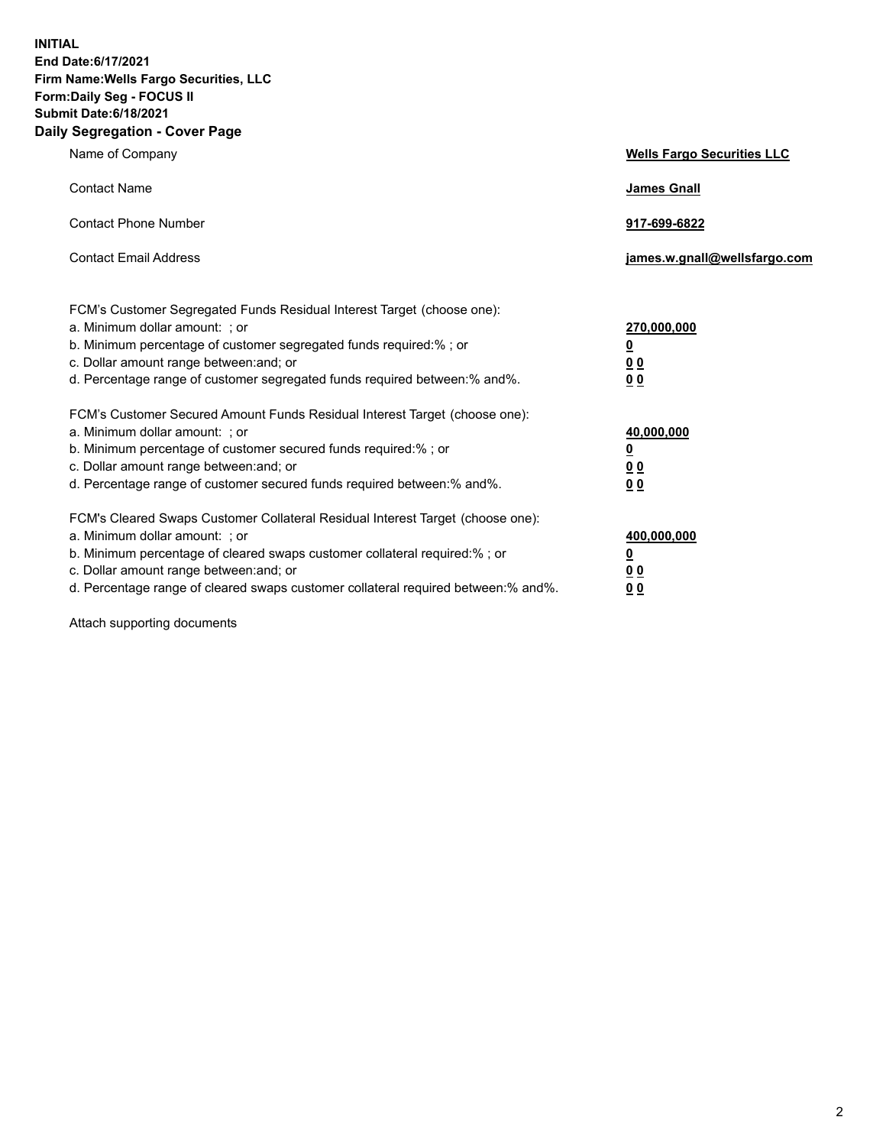**INITIAL End Date:6/17/2021 Firm Name:Wells Fargo Securities, LLC Form:Daily Seg - FOCUS II Submit Date:6/18/2021 Daily Segregation - Cover Page**

| Name of Company                                                                                                                                                                                                                                                                                                               | <b>Wells Fargo Securities LLC</b>                          |
|-------------------------------------------------------------------------------------------------------------------------------------------------------------------------------------------------------------------------------------------------------------------------------------------------------------------------------|------------------------------------------------------------|
| <b>Contact Name</b>                                                                                                                                                                                                                                                                                                           | <b>James Gnall</b>                                         |
| <b>Contact Phone Number</b>                                                                                                                                                                                                                                                                                                   | 917-699-6822                                               |
| <b>Contact Email Address</b>                                                                                                                                                                                                                                                                                                  | james.w.gnall@wellsfargo.com                               |
| FCM's Customer Segregated Funds Residual Interest Target (choose one):<br>a. Minimum dollar amount: ; or<br>b. Minimum percentage of customer segregated funds required:% ; or<br>c. Dollar amount range between: and; or<br>d. Percentage range of customer segregated funds required between:% and%.                        | 270,000,000<br><u>0</u><br>0 <sub>0</sub><br>00            |
| FCM's Customer Secured Amount Funds Residual Interest Target (choose one):<br>a. Minimum dollar amount: ; or<br>b. Minimum percentage of customer secured funds required:%; or<br>c. Dollar amount range between: and; or<br>d. Percentage range of customer secured funds required between: % and %.                         | 40,000,000<br><u>0</u><br>0 <sub>0</sub><br>0 <sub>0</sub> |
| FCM's Cleared Swaps Customer Collateral Residual Interest Target (choose one):<br>a. Minimum dollar amount: ; or<br>b. Minimum percentage of cleared swaps customer collateral required:%; or<br>c. Dollar amount range between: and; or<br>d. Percentage range of cleared swaps customer collateral required between:% and%. | 400,000,000<br><u>0</u><br>00<br>00                        |

Attach supporting documents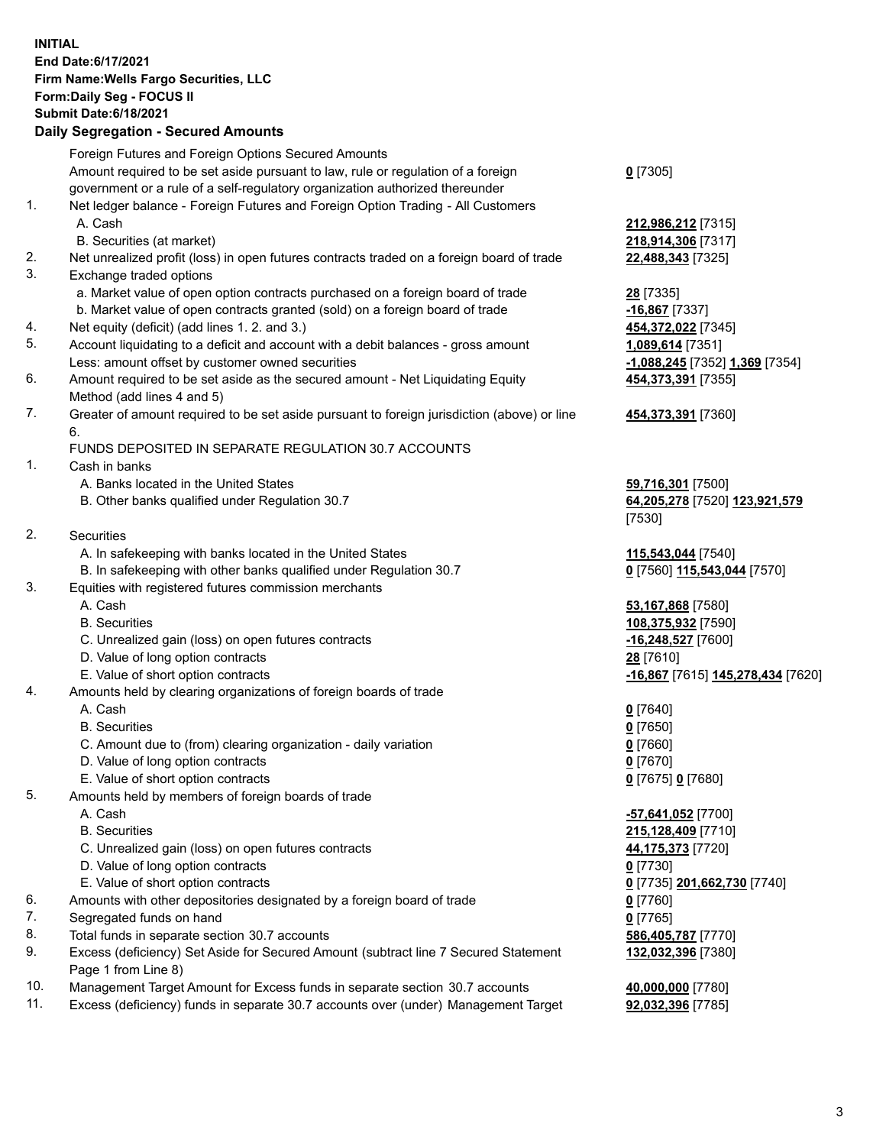**INITIAL End Date:6/17/2021 Firm Name:Wells Fargo Securities, LLC Form:Daily Seg - FOCUS II Submit Date:6/18/2021**

## **Daily Segregation - Secured Amounts**

|    | Foreign Futures and Foreign Options Secured Amounts                                         |                                   |
|----|---------------------------------------------------------------------------------------------|-----------------------------------|
|    | Amount required to be set aside pursuant to law, rule or regulation of a foreign            | $0$ [7305]                        |
|    | government or a rule of a self-regulatory organization authorized thereunder                |                                   |
| 1. | Net ledger balance - Foreign Futures and Foreign Option Trading - All Customers             |                                   |
|    | A. Cash                                                                                     | 212,986,212 [7315]                |
|    | B. Securities (at market)                                                                   | 218,914,306 [7317]                |
| 2. | Net unrealized profit (loss) in open futures contracts traded on a foreign board of trade   | 22,488,343 [7325]                 |
| 3. | Exchange traded options                                                                     |                                   |
|    | a. Market value of open option contracts purchased on a foreign board of trade              | 28 [7335]                         |
|    | b. Market value of open contracts granted (sold) on a foreign board of trade                | $-16,867$ [7337]                  |
| 4. | Net equity (deficit) (add lines 1. 2. and 3.)                                               | 454,372,022 [7345]                |
| 5. | Account liquidating to a deficit and account with a debit balances - gross amount           | 1,089,614 [7351]                  |
|    | Less: amount offset by customer owned securities                                            | -1,088,245 [7352] 1,369 [7354]    |
| 6. | Amount required to be set aside as the secured amount - Net Liquidating Equity              | 454,373,391 [7355]                |
|    | Method (add lines 4 and 5)                                                                  |                                   |
| 7. | Greater of amount required to be set aside pursuant to foreign jurisdiction (above) or line | 454,373,391 [7360]                |
|    | 6.                                                                                          |                                   |
|    | FUNDS DEPOSITED IN SEPARATE REGULATION 30.7 ACCOUNTS                                        |                                   |
| 1. | Cash in banks                                                                               |                                   |
|    | A. Banks located in the United States                                                       | 59,716,301 [7500]                 |
|    | B. Other banks qualified under Regulation 30.7                                              | 64,205,278 [7520] 123,921,579     |
|    |                                                                                             | [7530]                            |
| 2. | <b>Securities</b>                                                                           |                                   |
|    | A. In safekeeping with banks located in the United States                                   | 115,543,044 [7540]                |
|    | B. In safekeeping with other banks qualified under Regulation 30.7                          | 0 [7560] 115,543,044 [7570]       |
| 3. | Equities with registered futures commission merchants                                       |                                   |
|    | A. Cash                                                                                     | 53,167,868 [7580]                 |
|    | <b>B.</b> Securities                                                                        | 108,375,932 [7590]                |
|    | C. Unrealized gain (loss) on open futures contracts                                         | -16,248,527 [7600]                |
|    | D. Value of long option contracts                                                           | 28 [7610]                         |
|    | E. Value of short option contracts                                                          | -16,867 [7615] 145,278,434 [7620] |
| 4. | Amounts held by clearing organizations of foreign boards of trade                           |                                   |
|    | A. Cash                                                                                     | $0$ [7640]                        |
|    | <b>B.</b> Securities                                                                        | $0$ [7650]                        |
|    | C. Amount due to (from) clearing organization - daily variation                             | $0$ [7660]                        |
|    | D. Value of long option contracts                                                           | $0$ [7670]                        |
|    | E. Value of short option contracts                                                          | 0 [7675] 0 [7680]                 |
| 5. | Amounts held by members of foreign boards of trade                                          |                                   |
|    | A. Cash                                                                                     | -57,641,052 [7700]                |
|    | <b>B.</b> Securities                                                                        | 215,128,409 [7710]                |
|    | C. Unrealized gain (loss) on open futures contracts                                         | 44,175,373 [7720]                 |
|    | D. Value of long option contracts                                                           | $0$ [7730]                        |
|    | E. Value of short option contracts                                                          | 0 [7735] 201,662,730 [7740]       |
| 6. | Amounts with other depositories designated by a foreign board of trade                      | $0$ [7760]                        |
| 7. | Segregated funds on hand                                                                    | $0$ [7765]                        |
| 8. | Total funds in separate section 30.7 accounts                                               | 586,405,787 [7770]                |
| 9. | Excess (deficiency) Set Aside for Secured Amount (subtract line 7 Secured Statement         | 132,032,396 [7380]                |
|    | Page 1 from Line 8)                                                                         |                                   |

- 10. Management Target Amount for Excess funds in separate section 30.7 accounts **40,000,000** [7780]
- 11. Excess (deficiency) funds in separate 30.7 accounts over (under) Management Target **92,032,396** [7785]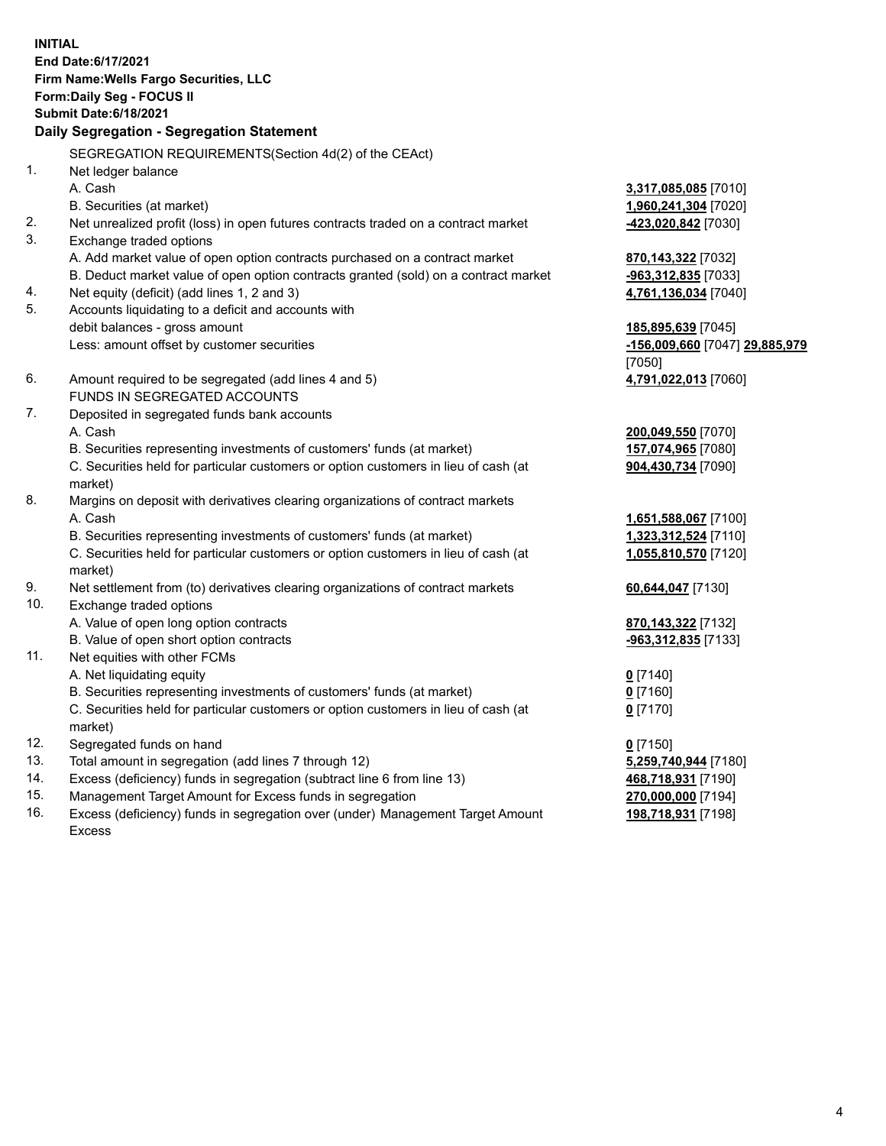**INITIAL End Date:6/17/2021 Firm Name:Wells Fargo Securities, LLC Form:Daily Seg - FOCUS II Submit Date:6/18/2021**

## **Daily Segregation - Segregation Statement**

SEGREGATION REQUIREMENTS(Section 4d(2) of the CEAct)

| 1.  | Net ledger balance                                                                  |                                |
|-----|-------------------------------------------------------------------------------------|--------------------------------|
|     | A. Cash                                                                             | 3,317,085,085 [7010]           |
|     | B. Securities (at market)                                                           | 1,960,241,304 [7020]           |
| 2.  | Net unrealized profit (loss) in open futures contracts traded on a contract market  | -423,020,842 [7030]            |
| 3.  | Exchange traded options                                                             |                                |
|     | A. Add market value of open option contracts purchased on a contract market         | 870,143,322 [7032]             |
|     | B. Deduct market value of open option contracts granted (sold) on a contract market | -963,312,835 [7033]            |
| 4.  | Net equity (deficit) (add lines 1, 2 and 3)                                         | 4,761,136,034 [7040]           |
| 5.  | Accounts liquidating to a deficit and accounts with                                 |                                |
|     | debit balances - gross amount                                                       | 185,895,639 [7045]             |
|     | Less: amount offset by customer securities                                          | -156,009,660 [7047] 29,885,979 |
|     |                                                                                     | [7050]                         |
| 6.  | Amount required to be segregated (add lines 4 and 5)                                | 4,791,022,013 [7060]           |
|     | FUNDS IN SEGREGATED ACCOUNTS                                                        |                                |
| 7.  | Deposited in segregated funds bank accounts                                         |                                |
|     | A. Cash                                                                             | 200,049,550 [7070]             |
|     | B. Securities representing investments of customers' funds (at market)              | 157,074,965 [7080]             |
|     | C. Securities held for particular customers or option customers in lieu of cash (at | 904,430,734 [7090]             |
|     | market)                                                                             |                                |
| 8.  | Margins on deposit with derivatives clearing organizations of contract markets      |                                |
|     | A. Cash                                                                             | 1,651,588,067 [7100]           |
|     | B. Securities representing investments of customers' funds (at market)              | 1,323,312,524 [7110]           |
|     | C. Securities held for particular customers or option customers in lieu of cash (at | 1,055,810,570 [7120]           |
|     | market)                                                                             |                                |
| 9.  | Net settlement from (to) derivatives clearing organizations of contract markets     | 60,644,047 [7130]              |
| 10. | Exchange traded options                                                             |                                |
|     | A. Value of open long option contracts                                              | 870,143,322 [7132]             |
|     | B. Value of open short option contracts                                             | -963,312,835 [7133]            |
| 11. | Net equities with other FCMs                                                        |                                |
|     | A. Net liquidating equity                                                           | $0$ [7140]                     |
|     | B. Securities representing investments of customers' funds (at market)              | $0$ [7160]                     |
|     | C. Securities held for particular customers or option customers in lieu of cash (at | $0$ [7170]                     |
|     | market)                                                                             |                                |
| 12. | Segregated funds on hand                                                            | $0$ [7150]                     |
| 13. | Total amount in segregation (add lines 7 through 12)                                | 5,259,740,944 [7180]           |
| 14. | Excess (deficiency) funds in segregation (subtract line 6 from line 13)             | 468,718,931 [7190]             |
| 15. | Management Target Amount for Excess funds in segregation                            | 270,000,000 [7194]             |
| 16. | Excess (deficiency) funds in segregation over (under) Management Target Amount      | 198,718,931 [7198]             |
|     | Excess                                                                              |                                |